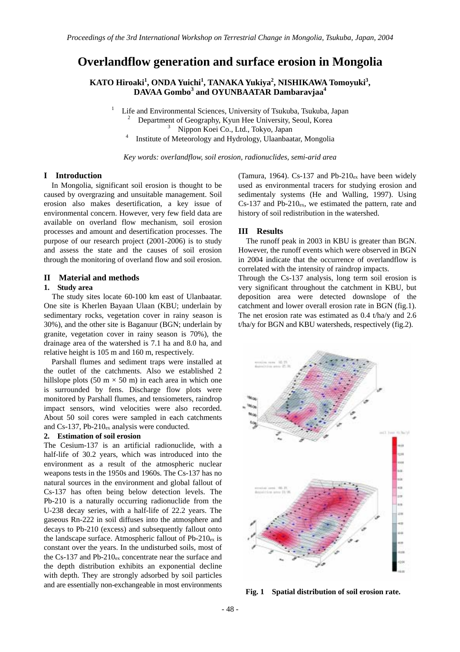# **Overlandflow generation and surface erosion in Mongolia**

**KATO Hiroaki<sup>1</sup> , ONDA Yuichi1 , TANAKA Yukiya<sup>2</sup> , NISHIKAWA Tomoyuki3 , DAVAA Gombo<sup>3</sup> and OYUNBAATAR Dambaravjaa<sup>4</sup>**

 Life and Environmental Sciences, University of Tsukuba, Tsukuba, Japan 2 Department of Geography, Kyun Hee University, Seoul, Korea 3

Nippon Koei Co., Ltd., Tokyo, Japan 4

Institute of Meteorology and Hydrology, Ulaanbaatar, Mongolia

*Key words: overlandflow, soil erosion, radionuclides, semi-arid area* 

#### **I Introduction**

In Mongolia, significant soil erosion is thought to be caused by overgrazing and unsuitable management. Soil erosion also makes desertification, a key issue of environmental concern. However, very few field data are available on overland flow mechanism, soil erosion processes and amount and desertification processes. The purpose of our research project (2001-2006) is to study and assess the state and the causes of soil erosion through the monitoring of overland flow and soil erosion.

1

#### **II Material and methods**

### **1. Study area**

The study sites locate 60-100 km east of Ulanbaatar. One site is Kherlen Bayaan Ulaan (KBU; underlain by sedimentary rocks, vegetation cover in rainy season is 30%), and the other site is Baganuur (BGN; underlain by granite, vegetation cover in rainy season is 70%), the drainage area of the watershed is 7.1 ha and 8.0 ha, and relative height is 105 m and 160 m, respectively.

 Parshall flumes and sediment traps were installed at the outlet of the catchments. Also we established 2 hillslope plots (50 m  $\times$  50 m) in each area in which one is surrounded by fens. Discharge flow plots were monitored by Parshall flumes, and tensiometers, raindrop impact sensors, wind velocities were also recorded. About 50 soil cores were sampled in each catchments and Cs-137, Pb-210ex analysis were conducted.

#### **2. Estimation of soil erosion**

The Cesium-137 is an artificial radionuclide, with a half-life of 30.2 years, which was introduced into the environment as a result of the atmospheric nuclear weapons tests in the 1950s and 1960s. The Cs-137 has no natural sources in the environment and global fallout of Cs-137 has often being below detection levels. The Pb-210 is a naturally occurring radionuclide from the U-238 decay series, with a half-life of 22.2 years. The gaseous Rn-222 in soil diffuses into the atmosphere and decays to Pb-210 (excess) and subsequently fallout onto the landscape surface. Atmospheric fallout of  $Pb-210_{ex}$  is constant over the years. In the undisturbed soils, most of the Cs-137 and Pb-210 $_{ex}$  concentrate near the surface and the depth distribution exhibits an exponential decline with depth. They are strongly adsorbed by soil particles and are essentially non-exchangeable in most environments

(Tamura, 1964). Cs-137 and Pb-210 $_{ex}$  have been widely used as environmental tracers for studying erosion and sedimentaly systems (He and Walling, 1997). Using  $Cs-137$  and Pb-210 $ex$ , we estimated the pattern, rate and history of soil redistribution in the watershed.

#### **III Results**

 The runoff peak in 2003 in KBU is greater than BGN. However, the runoff events which were observed in BGN in 2004 indicate that the occurrence of overlandflow is correlated with the intensity of raindrop impacts.

Through the Cs-137 analysis, long term soil erosion is very significant throughout the catchment in KBU, but deposition area were detected downslope of the catchment and lower overall erosion rate in BGN (fig.1). The net erosion rate was estimated as 0.4 t/ha/y and 2.6 t/ha/y for BGN and KBU watersheds, respectively (fig.2).



**Fig. 1 Spatial distribution of soil erosion rate.**